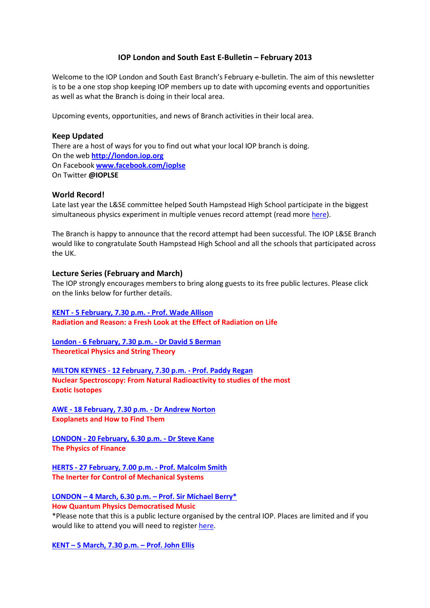# IOP London and South East E-Bulletin – February 2013

Welcome to the IOP London and South East Branch's February e-bulletin. The aim of this newsletter is to be a one stop shop keeping IOP members up to date with upcoming events and opportunities as well as what the Branch is doing in their local area.

Upcoming events, opportunities, and news of Branch activities in their local area.

## Keep Updated

There are a host of ways for you to find out what your local IOP branch is doing. On the web http://london.iop.org On Facebook www.facebook.com/ioplse On Twitter @IOPLSE

### World Record!

Late last year the L&SE committee helped South Hampstead High School participate in the biggest simultaneous physics experiment in multiple venues record attempt (read more here).

The Branch is happy to announce that the record attempt had been successful. The IOP L&SE Branch would like to congratulate South Hampstead High School and all the schools that participated across the UK.

### Lecture Series (February and March)

The IOP strongly encourages members to bring along guests to its free public lectures. Please click on the links below for further details.

KENT - 5 February, 7.30 p.m. - Prof. Wade Allison Radiation and Reason: a Fresh Look at the Effect of Radiation on Life

London - 6 February, 7.30 p.m. - Dr David S Berman Theoretical Physics and String Theory

MILTON KEYNES - 12 February, 7.30 p.m. - Prof. Paddy Regan Nuclear Spectroscopy: From Natural Radioactivity to studies of the most Exotic Isotopes

AWE - 18 February, 7.30 p.m. - Dr Andrew Norton Exoplanets and How to Find Them

LONDON - 20 February, 6.30 p.m. - Dr Steve Kane The Physics of Finance

HERTS - 27 February, 7.00 p.m. - Prof. Malcolm Smith The Inerter for Control of Mechanical Systems

LONDON – 4 March, 6.30 p.m. – Prof. Sir Michael Berry\* How Quantum Physics Democratised Music

\*Please note that this is a public lecture organised by the central IOP. Places are limited and if you would like to attend you will need to register here.

KENT – 5 March, 7.30 p.m. – Prof. John Ellis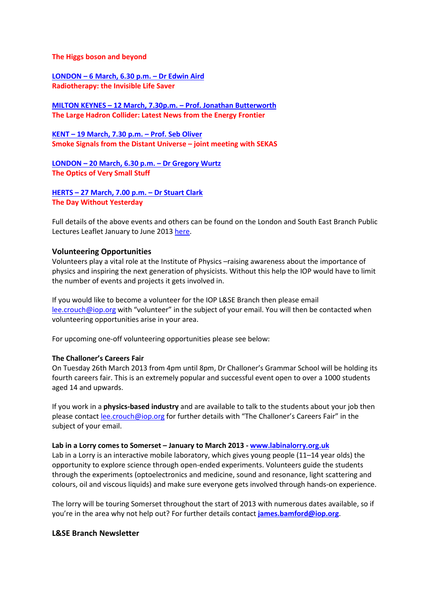#### The Higgs boson and beyond

LONDON – 6 March, 6.30 p.m. – Dr Edwin Aird Radiotherapy: the Invisible Life Saver

MILTON KEYNES – 12 March, 7.30p.m. – Prof. Jonathan Butterworth The Large Hadron Collider: Latest News from the Energy Frontier

KENT – 19 March, 7.30 p.m. – Prof. Seb Oliver Smoke Signals from the Distant Universe – joint meeting with SEKAS

LONDON – 20 March, 6.30 p.m. – Dr Gregory Wurtz The Optics of Very Small Stuff

HERTS – 27 March, 7.00 p.m. – Dr Stuart Clark The Day Without Yesterday

Full details of the above events and others can be found on the London and South East Branch Public Lectures Leaflet January to June 2013 here.

### Volunteering Opportunities

Volunteers play a vital role at the Institute of Physics –raising awareness about the importance of physics and inspiring the next generation of physicists. Without this help the IOP would have to limit the number of events and projects it gets involved in.

If you would like to become a volunteer for the IOP L&SE Branch then please email lee.crouch@iop.org with "volunteer" in the subject of your email. You will then be contacted when volunteering opportunities arise in your area.

For upcoming one-off volunteering opportunities please see below:

### The Challoner's Careers Fair

On Tuesday 26th March 2013 from 4pm until 8pm, Dr Challoner's Grammar School will be holding its fourth careers fair. This is an extremely popular and successful event open to over a 1000 students aged 14 and upwards.

If you work in a **physics-based industry** and are available to talk to the students about your job then please contact lee.crouch@iop.org for further details with "The Challoner's Careers Fair" in the subject of your email.

#### Lab in a Lorry comes to Somerset - January to March 2013 - www.labinalorry.org.uk

Lab in a Lorry is an interactive mobile laboratory, which gives young people (11–14 year olds) the opportunity to explore science through open-ended experiments. Volunteers guide the students through the experiments (optoelectronics and medicine, sound and resonance, light scattering and colours, oil and viscous liquids) and make sure everyone gets involved through hands-on experience.

The lorry will be touring Somerset throughout the start of 2013 with numerous dates available, so if you're in the area why not help out? For further details contact james.bamford@iop.org.

### L&SE Branch Newsletter